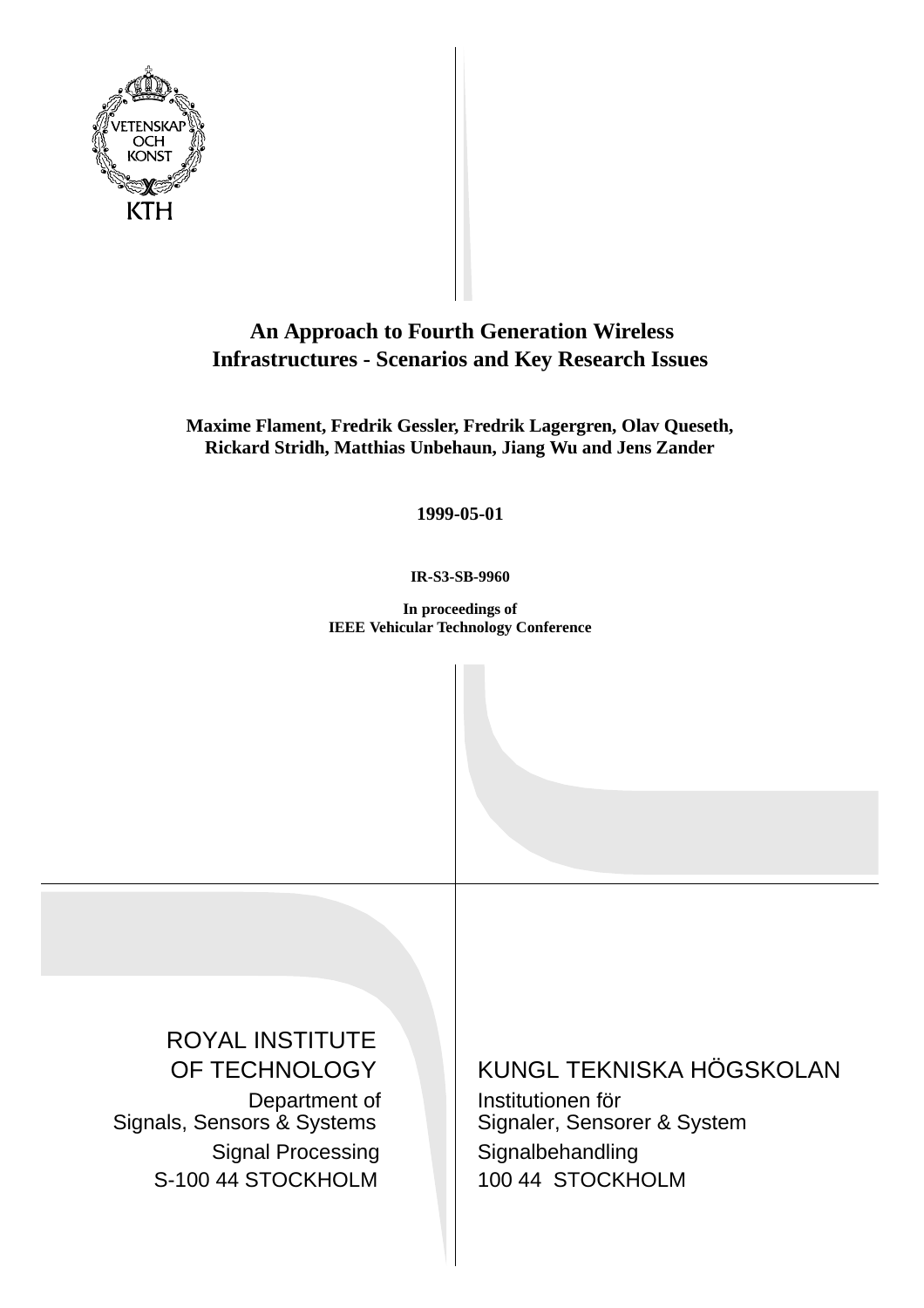

# **An Approach to Fourth Generation Wireless Infrastructures - Scenarios and Key Research Issues**

**Maxime Flament, Fredrik Gessler, Fredrik Lagergren, Olav Queseth, Rickard Stridh, Matthias Unbehaun, Jiang Wu and Jens Zander**

**1999-05-01**

**IR-S3-SB-9960**

**In proceedings of IEEE Vehicular Technology Conference**

ROYAL INSTITUTE OF TECHNOLOGY Department of Signals, Sensors & Systems Signal Processing S-100 44 STOCKHOLM

KUNGL TEKNISKA HÖGSKOLAN

Institutionen för Signaler, Sensorer & System Signalbehandling 100 44 STOCKHOLM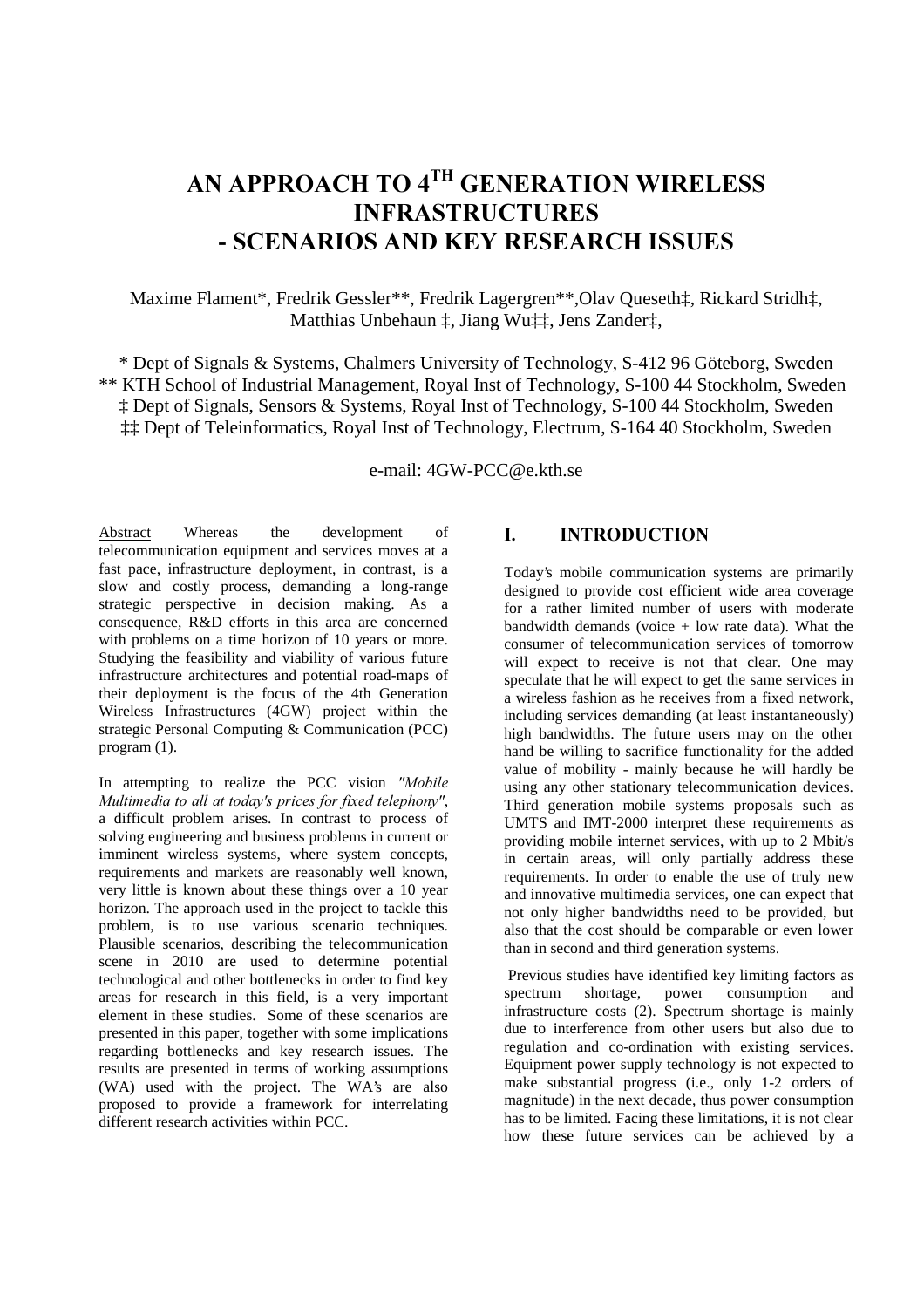# AN APPROACH TO 4<sup>th</sup> GENERATION WIRELESS **INFRASTRUCTURES** - SCENARIOS AND KEY RESEARCH ISSUES

Maxime Flament\*, Fredrik Gessler\*\*, Fredrik Lagergren\*\*,Olav Queseth‡, Rickard Stridh‡, Matthias Unbehaun ‡, Jiang Wu‡‡, Jens Zander‡,

\* Dept of Signals & Systems, Chalmers University of Technology, S-412 96 Göteborg, Sweden \*\* KTH School of Industrial Management, Royal Inst of Technology, S-100 44 Stockholm, Sweden ‡ Dept of Signals, Sensors & Systems, Royal Inst of Technology, S-100 44 Stockholm, Sweden ‡‡ Dept of Teleinformatics, Royal Inst of Technology, Electrum, S-164 40 Stockholm, Sweden

e-mail: 4GW-PCC@e.kth.se

Abstract Whereas the development of telecommunication equipment and services moves at a fast pace, infrastructure deployment, in contrast, is a slow and costly process, demanding a long-range strategic perspective in decision making. As a consequence, R&D efforts in this area are concerned with problems on a time horizon of 10 years or more. Studying the feasibility and viability of various future infrastructure architectures and potential road-maps of their deployment is the focus of the 4th Generation Wireless Infrastructures (4GW) project within the strategic Personal Computing & Communication (PCC) program (1).

In attempting to realize the PCC vision "Mobile Multimedia to all at today's prices for fixed telephony", a difficult problem arises. In contrast to process of solving engineering and business problems in current or imminent wireless systems, where system concepts, requirements and markets are reasonably well known, very little is known about these things over a 10 year horizon. The approach used in the project to tackle this problem, is to use various scenario techniques. Plausible scenarios, describing the telecommunication scene in 2010 are used to determine potential technological and other bottlenecks in order to find key areas for research in this field, is a very important element in these studies. Some of these scenarios are presented in this paper, together with some implications regarding bottlenecks and key research issues. The results are presented in terms of working assumptions (WA) used with the project. The WA's are also proposed to provide a framework for interrelating different research activities within PCC.

# **I.** INTRODUCTION

Today's mobile communication systems are primarily designed to provide cost efficient wide area coverage for a rather limited number of users with moderate bandwidth demands (voice  $+$  low rate data). What the consumer of telecommunication services of tomorrow will expect to receive is not that clear. One may speculate that he will expect to get the same services in a wireless fashion as he receives from a fixed network, including services demanding (at least instantaneously) high bandwidths. The future users may on the other hand be willing to sacrifice functionality for the added value of mobility - mainly because he will hardly be using any other stationary telecommunication devices. Third generation mobile systems proposals such as UMTS and IMT-2000 interpret these requirements as providing mobile internet services, with up to 2 Mbit/s in certain areas, will only partially address these requirements. In order to enable the use of truly new and innovative multimedia services, one can expect that not only higher bandwidths need to be provided, but also that the cost should be comparable or even lower than in second and third generation systems.

 Previous studies have identified key limiting factors as spectrum shortage, power consumption and infrastructure costs (2). Spectrum shortage is mainly due to interference from other users but also due to regulation and co-ordination with existing services. Equipment power supply technology is not expected to make substantial progress (i.e., only 1-2 orders of magnitude) in the next decade, thus power consumption has to be limited. Facing these limitations, it is not clear how these future services can be achieved by a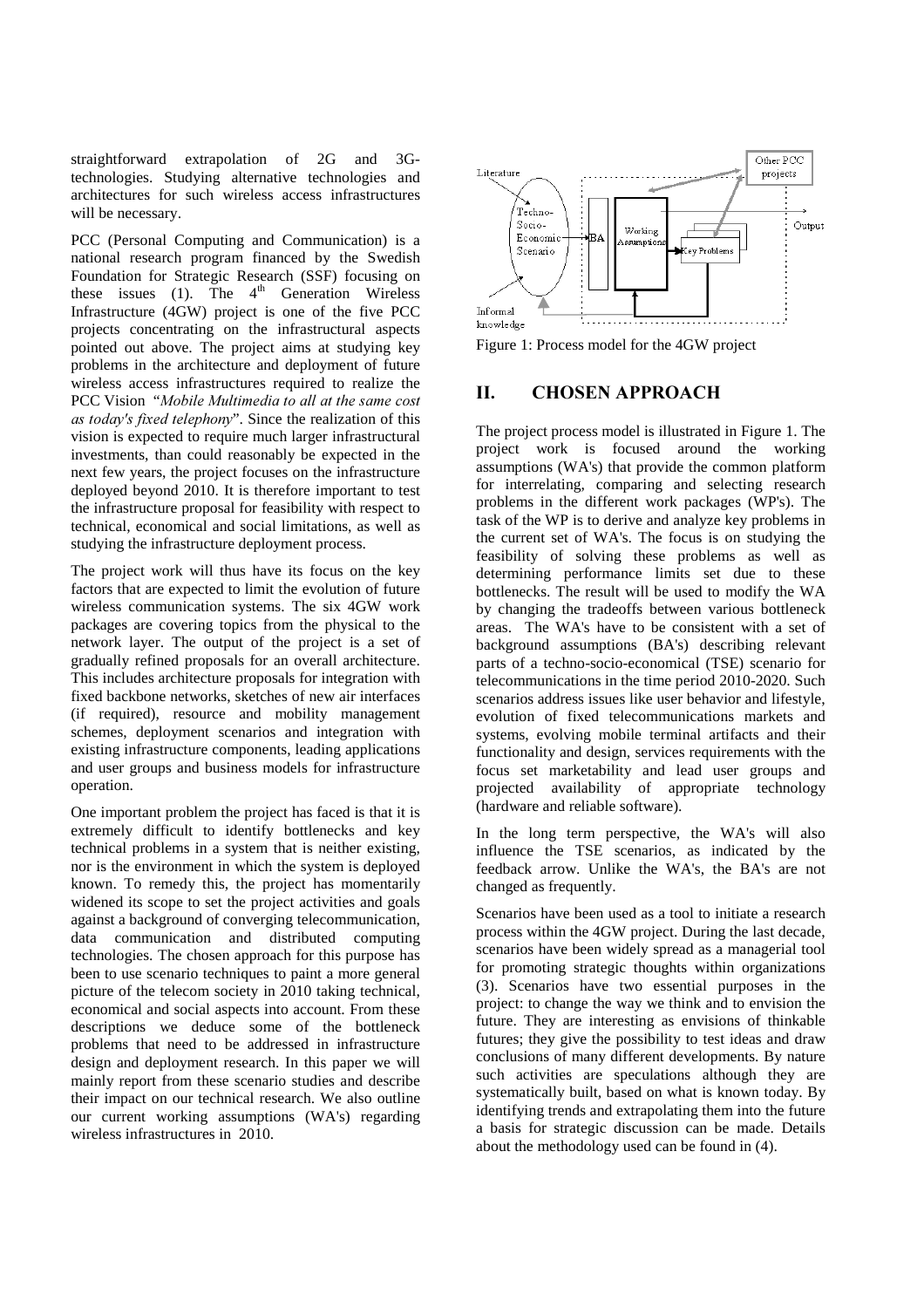straightforward extrapolation of 2G and 3Gtechnologies. Studying alternative technologies and architectures for such wireless access infrastructures will be necessary.

PCC (Personal Computing and Communication) is a national research program financed by the Swedish Foundation for Strategic Research (SSF) focusing on these issues (1). The  $4<sup>th</sup>$  Generation Wireless Infrastructure (4GW) project is one of the five PCC projects concentrating on the infrastructural aspects pointed out above. The project aims at studying key problems in the architecture and deployment of future wireless access infrastructures required to realize the PCC Vision "Mobile Multimedia to all at the same cost *as today's fixed telephony*". Since the realization of this vision is expected to require much larger infrastructural investments, than could reasonably be expected in the next few years, the project focuses on the infrastructure deployed beyond 2010. It is therefore important to test the infrastructure proposal for feasibility with respect to technical, economical and social limitations, as well as studying the infrastructure deployment process.

The project work will thus have its focus on the key factors that are expected to limit the evolution of future wireless communication systems. The six 4GW work packages are covering topics from the physical to the network layer. The output of the project is a set of gradually refined proposals for an overall architecture. This includes architecture proposals for integration with fixed backbone networks, sketches of new air interfaces (if required), resource and mobility management schemes, deployment scenarios and integration with existing infrastructure components, leading applications and user groups and business models for infrastructure operation.

One important problem the project has faced is that it is extremely difficult to identify bottlenecks and key technical problems in a system that is neither existing, nor is the environment in which the system is deployed known. To remedy this, the project has momentarily widened its scope to set the project activities and goals against a background of converging telecommunication, data communication and distributed computing technologies. The chosen approach for this purpose has been to use scenario techniques to paint a more general picture of the telecom society in 2010 taking technical, economical and social aspects into account. From these descriptions we deduce some of the bottleneck problems that need to be addressed in infrastructure design and deployment research. In this paper we will mainly report from these scenario studies and describe their impact on our technical research. We also outline our current working assumptions (WA's) regarding wireless infrastructures in 2010.



Figure 1: Process model for the 4GW project

# **II.** CHOSEN APPROACH

The project process model is illustrated in Figure 1. The project work is focused around the working assumptions (WA's) that provide the common platform for interrelating, comparing and selecting research problems in the different work packages (WP's). The task of the WP is to derive and analyze key problems in the current set of WA's. The focus is on studying the feasibility of solving these problems as well as determining performance limits set due to these bottlenecks. The result will be used to modify the WA by changing the tradeoffs between various bottleneck areas. The WA's have to be consistent with a set of background assumptions (BA's) describing relevant parts of a techno-socio-economical (TSE) scenario for telecommunications in the time period 2010-2020. Such scenarios address issues like user behavior and lifestyle, evolution of fixed telecommunications markets and systems, evolving mobile terminal artifacts and their functionality and design, services requirements with the focus set marketability and lead user groups and projected availability of appropriate technology (hardware and reliable software).

In the long term perspective, the WA's will also influence the TSE scenarios, as indicated by the feedback arrow. Unlike the WA's, the BA's are not changed as frequently.

Scenarios have been used as a tool to initiate a research process within the 4GW project. During the last decade, scenarios have been widely spread as a managerial tool for promoting strategic thoughts within organizations (3). Scenarios have two essential purposes in the project: to change the way we think and to envision the future. They are interesting as envisions of thinkable futures; they give the possibility to test ideas and draw conclusions of many different developments. By nature such activities are speculations although they are systematically built, based on what is known today. By identifying trends and extrapolating them into the future a basis for strategic discussion can be made. Details about the methodology used can be found in (4).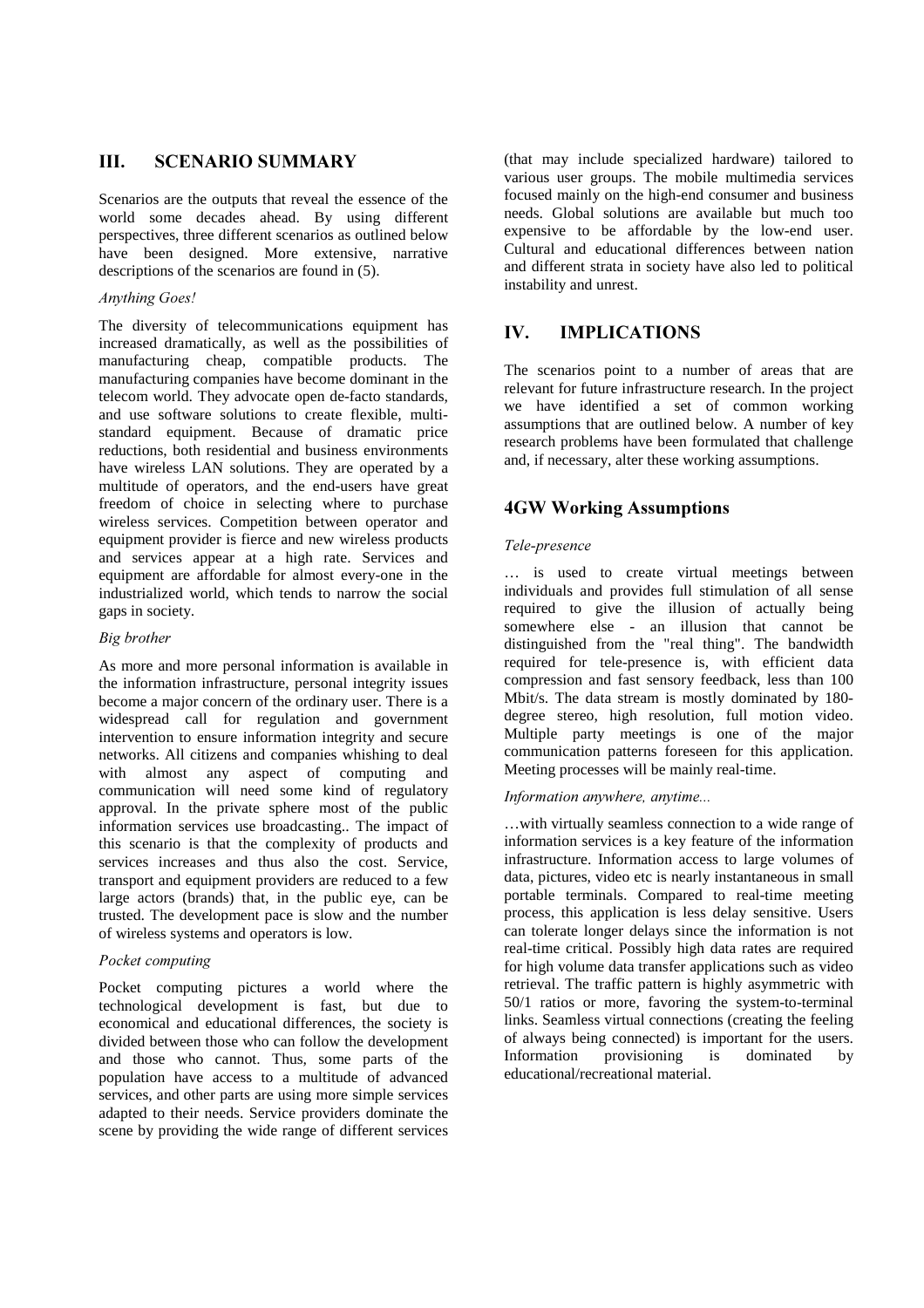# **III.** SCENARIO SUMMARY

Scenarios are the outputs that reveal the essence of the world some decades ahead. By using different perspectives, three different scenarios as outlined below have been designed. More extensive, narrative descriptions of the scenarios are found in (5).

## *Anything Goes!*

The diversity of telecommunications equipment has increased dramatically, as well as the possibilities of manufacturing cheap, compatible products. The manufacturing companies have become dominant in the telecom world. They advocate open de-facto standards, and use software solutions to create flexible, multistandard equipment. Because of dramatic price reductions, both residential and business environments have wireless LAN solutions. They are operated by a multitude of operators, and the end-users have great freedom of choice in selecting where to purchase wireless services. Competition between operator and equipment provider is fierce and new wireless products and services appear at a high rate. Services and equipment are affordable for almost every-one in the industrialized world, which tends to narrow the social gaps in society.

#### *Big brother*

As more and more personal information is available in the information infrastructure, personal integrity issues become a major concern of the ordinary user. There is a widespread call for regulation and government intervention to ensure information integrity and secure networks. All citizens and companies whishing to deal with almost any aspect of computing and communication will need some kind of regulatory approval. In the private sphere most of the public information services use broadcasting.. The impact of this scenario is that the complexity of products and services increases and thus also the cost. Service, transport and equipment providers are reduced to a few large actors (brands) that, in the public eye, can be trusted. The development pace is slow and the number of wireless systems and operators is low.

### **Pocket computing**

Pocket computing pictures a world where the technological development is fast, but due to economical and educational differences, the society is divided between those who can follow the development and those who cannot. Thus, some parts of the population have access to a multitude of advanced services, and other parts are using more simple services adapted to their needs. Service providers dominate the scene by providing the wide range of different services

(that may include specialized hardware) tailored to various user groups. The mobile multimedia services focused mainly on the high-end consumer and business needs. Global solutions are available but much too expensive to be affordable by the low-end user. Cultural and educational differences between nation and different strata in society have also led to political instability and unrest.

# **IV.** IMPLICATIONS

The scenarios point to a number of areas that are relevant for future infrastructure research. In the project we have identified a set of common working assumptions that are outlined below. A number of key research problems have been formulated that challenge and, if necessary, alter these working assumptions.

# **4GW Working Assumptions**

### $Tele\text{-}presence$

… is used to create virtual meetings between individuals and provides full stimulation of all sense required to give the illusion of actually being somewhere else - an illusion that cannot be distinguished from the "real thing". The bandwidth required for tele-presence is, with efficient data compression and fast sensory feedback, less than 100 Mbit/s. The data stream is mostly dominated by 180 degree stereo, high resolution, full motion video. Multiple party meetings is one of the major communication patterns foreseen for this application. Meeting processes will be mainly real-time.

## Information anywhere, anytime...

…with virtually seamless connection to a wide range of information services is a key feature of the information infrastructure. Information access to large volumes of data, pictures, video etc is nearly instantaneous in small portable terminals. Compared to real-time meeting process, this application is less delay sensitive. Users can tolerate longer delays since the information is not real-time critical. Possibly high data rates are required for high volume data transfer applications such as video retrieval. The traffic pattern is highly asymmetric with 50/1 ratios or more, favoring the system-to-terminal links. Seamless virtual connections (creating the feeling of always being connected) is important for the users. Information provisioning is dominated by educational/recreational material.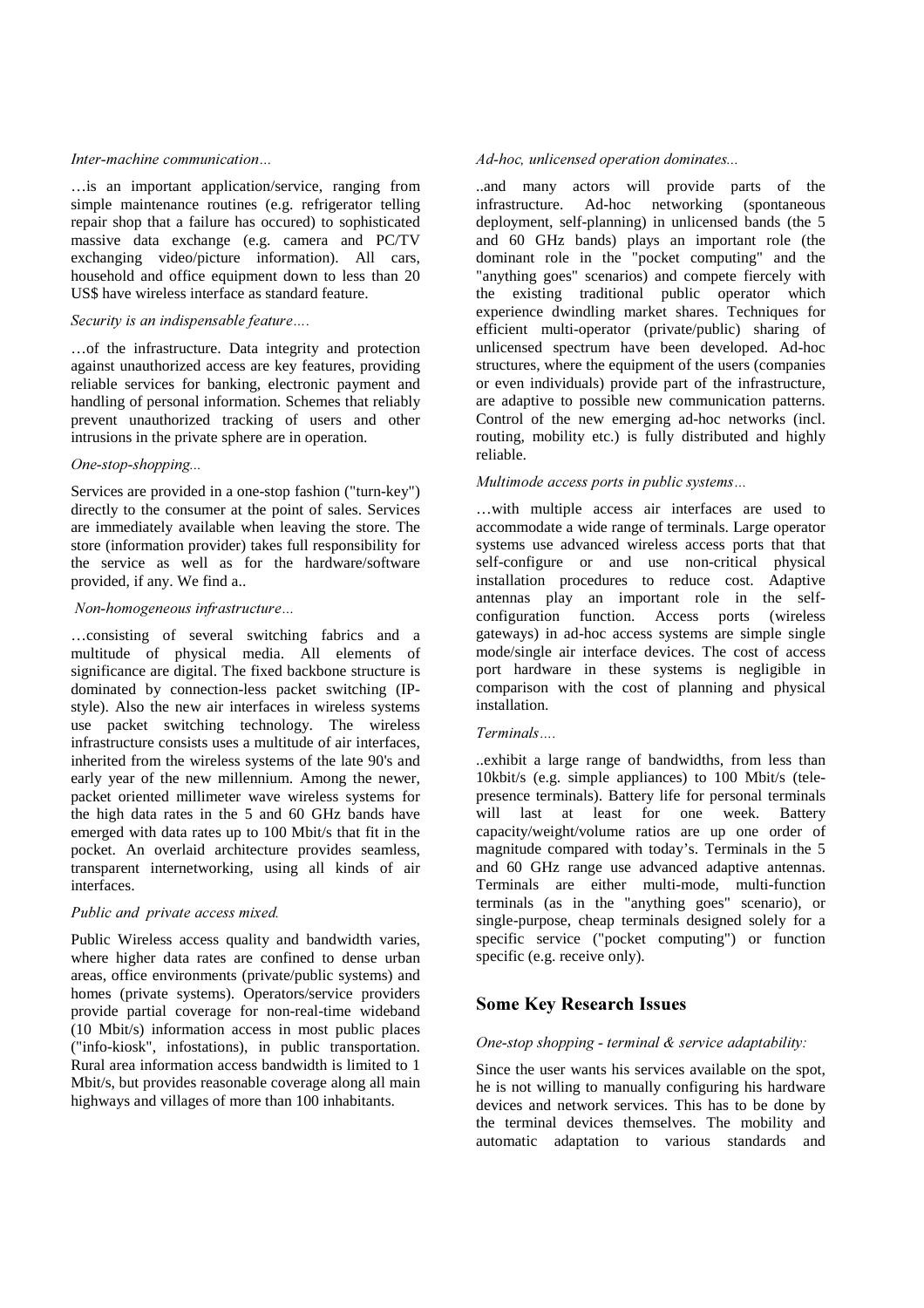#### Inter-machine communication...

…is an important application/service, ranging from simple maintenance routines (e.g. refrigerator telling repair shop that a failure has occured) to sophisticated massive data exchange (e.g. camera and PC/TV exchanging video/picture information). All cars, household and office equipment down to less than 20 US\$ have wireless interface as standard feature.

#### Security is an indispensable feature....

…of the infrastructure. Data integrity and protection against unauthorized access are key features, providing reliable services for banking, electronic payment and handling of personal information. Schemes that reliably prevent unauthorized tracking of users and other intrusions in the private sphere are in operation.

### $One-stop-shopping...$

Services are provided in a one-stop fashion ("turn-key") directly to the consumer at the point of sales. Services are immediately available when leaving the store. The store (information provider) takes full responsibility for the service as well as for the hardware/software provided, if any. We find a..

#### $Non-homogeneous$  *infrastructure...*

…consisting of several switching fabrics and a multitude of physical media. All elements of significance are digital. The fixed backbone structure is dominated by connection-less packet switching (IPstyle). Also the new air interfaces in wireless systems use packet switching technology. The wireless infrastructure consists uses a multitude of air interfaces, inherited from the wireless systems of the late 90's and early year of the new millennium. Among the newer, packet oriented millimeter wave wireless systems for the high data rates in the 5 and 60 GHz bands have emerged with data rates up to 100 Mbit/s that fit in the pocket. An overlaid architecture provides seamless, transparent internetworking, using all kinds of air interfaces.

## Public and private access mixed.

Public Wireless access quality and bandwidth varies, where higher data rates are confined to dense urban areas, office environments (private/public systems) and homes (private systems). Operators/service providers provide partial coverage for non-real-time wideband (10 Mbit/s) information access in most public places ("info-kiosk", infostations), in public transportation. Rural area information access bandwidth is limited to 1 Mbit/s, but provides reasonable coverage along all main highways and villages of more than 100 inhabitants.

### Ad-hoc, unlicensed operation dominates...

..and many actors will provide parts of the infrastructure. Ad-hoc networking (spontaneous deployment, self-planning) in unlicensed bands (the 5 and 60 GHz bands) plays an important role (the dominant role in the "pocket computing" and the "anything goes" scenarios) and compete fiercely with the existing traditional public operator which experience dwindling market shares. Techniques for efficient multi-operator (private/public) sharing of unlicensed spectrum have been developed. Ad-hoc structures, where the equipment of the users (companies or even individuals) provide part of the infrastructure, are adaptive to possible new communication patterns. Control of the new emerging ad-hoc networks (incl. routing, mobility etc.) is fully distributed and highly reliable.

#### *Multimode access ports in public systems...*

…with multiple access air interfaces are used to accommodate a wide range of terminals. Large operator systems use advanced wireless access ports that that self-configure or and use non-critical physical installation procedures to reduce cost. Adaptive antennas play an important role in the selfconfiguration function. Access ports (wireless gateways) in ad-hoc access systems are simple single mode/single air interface devices. The cost of access port hardware in these systems is negligible in comparison with the cost of planning and physical installation.

#### $Terminals....$

..exhibit a large range of bandwidths, from less than 10kbit/s (e.g. simple appliances) to 100 Mbit/s (telepresence terminals). Battery life for personal terminals will last at least for one week. Battery capacity/weight/volume ratios are up one order of magnitude compared with today's. Terminals in the 5 and 60 GHz range use advanced adaptive antennas. Terminals are either multi-mode, multi-function terminals (as in the "anything goes" scenario), or single-purpose, cheap terminals designed solely for a specific service ("pocket computing") or function specific (e.g. receive only).

# **Some Key Research Issues**

### *One-stop shopping - terminal & service adaptability:*

Since the user wants his services available on the spot, he is not willing to manually configuring his hardware devices and network services. This has to be done by the terminal devices themselves. The mobility and automatic adaptation to various standards and